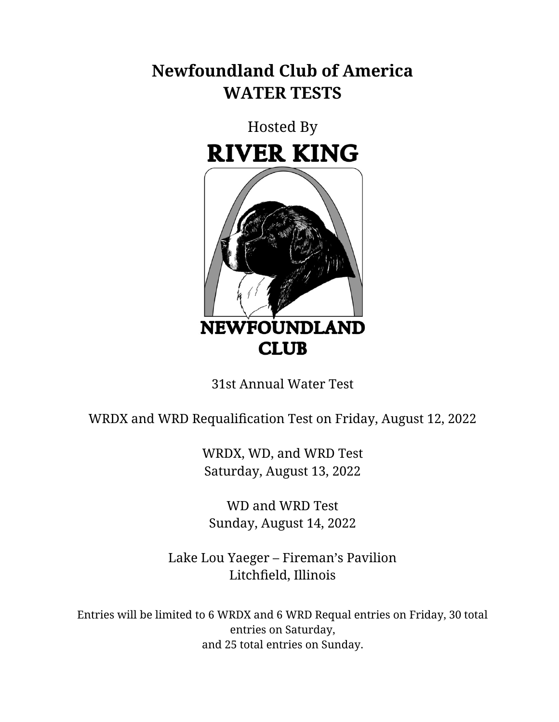# **Newfoundland Club of America WATER TESTS**



31st Annual Water Test

WRDX and WRD Requalification Test on Friday, August 12, 2022

WRDX, WD, and WRD Test Saturday, August 13, 2022

WD and WRD Test Sunday, August 14, 2022

Lake Lou Yaeger – Fireman's Pavilion Litchfield, Illinois

Entries will be limited to 6 WRDX and 6 WRD Requal entries on Friday, 30 total entries on Saturday, and 25 total entries on Sunday.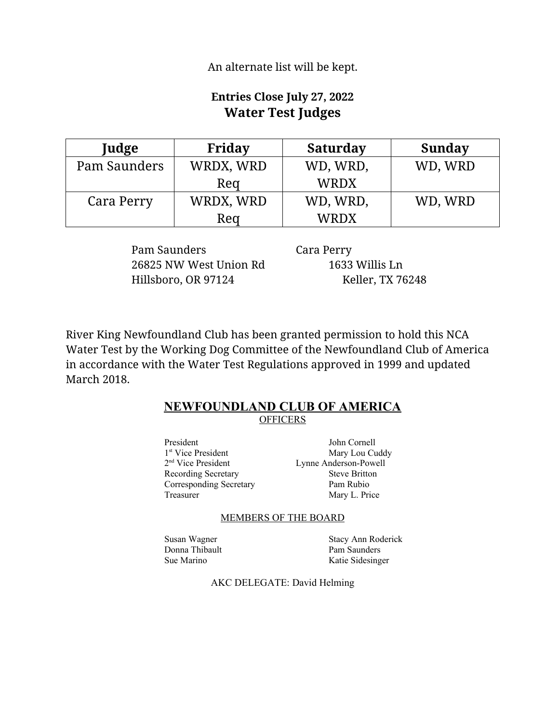An alternate list will be kept.

# **Entries Close July 27, 2022 Water Test Judges**

| Judge        | Friday    | <b>Saturday</b> | <b>Sunday</b> |
|--------------|-----------|-----------------|---------------|
| Pam Saunders | WRDX, WRD | WD, WRD,        | WD, WRD       |
|              | Reg       | <b>WRDX</b>     |               |
| Cara Perry   | WRDX, WRD | WD, WRD,        | WD, WRD       |
|              | Reg       | <b>WRDX</b>     |               |

Pam Saunders Cara Perry 26825 NW West Union Rd 1633 Willis Ln Hillsboro, OR 97124 Keller, TX 76248

River King Newfoundland Club has been granted permission to hold this NCA Water Test by the Working Dog Committee of the Newfoundland Club of America in accordance with the Water Test Regulations approved in 1999 and updated March 2018.

#### **NEWFOUNDLAND CLUB OF AMERICA OFFICERS**

President John Cornell 1<sup>st</sup> Vice President 2<sup>nd</sup> Vice President Recording Secretary Steve Britton Corresponding Secretary Pam Rubio Treasurer Mary L. Price

Mary Lou Cuddy Lynne Anderson-Powell

#### MEMBERS OF THE BOARD

Donna Thibault Pam Saunders Sue Marino Katie Sidesinger

Susan Wagner Stacy Ann Roderick

AKC DELEGATE: David Helming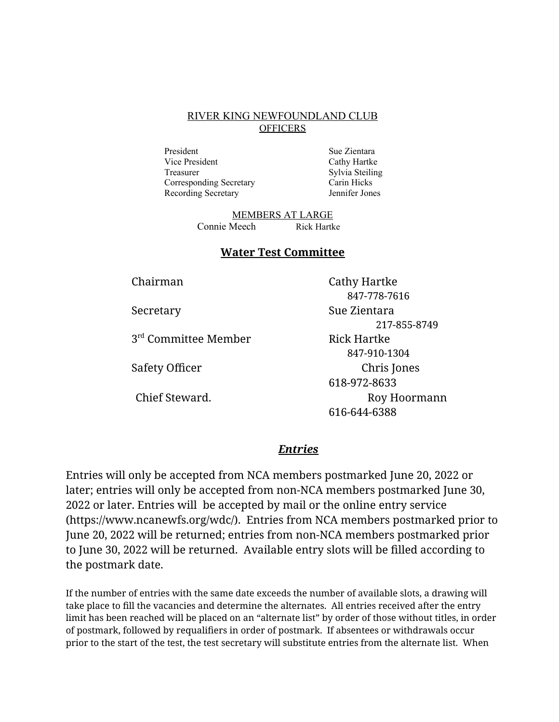#### RIVER KING NEWFOUNDLAND CLUB **OFFICERS**

President Sue Zientara Vice President Cathy Hartke Treasurer Sylvia Steiling Corresponding Secretary Carin Hicks Recording Secretary Jennifer Jones

MEMBERS AT LARGE Connie Meech Rick Hartke

#### **Water Test Committee**

3<sup>rd</sup> Committee Member Rick Hartke

Chairman Cathy Hartke 847-778-7616 Secretary Sue Zientara 217-855-8749 847-910-1304 Safety Officer **Chris** Jones 618-972-8633 Chief Steward. The Chief Steward School and The Roy Hoormann 616-644-6388

#### *Entries*

Entries will only be accepted from NCA members postmarked June 20, 2022 or later; entries will only be accepted from non-NCA members postmarked June 30, 2022 or later. Entries will be accepted by mail or the online entry service (https://www.ncanewfs.org/wdc/). Entries from NCA members postmarked prior to June 20, 2022 will be returned; entries from non-NCA members postmarked prior to June 30, 2022 will be returned.Available entry slots will be filled according to the postmark date.

If the number of entries with the same date exceeds the number of available slots, a drawing will take place to fill the vacancies and determine the alternates. All entries received after the entry limit has been reached will be placed on an "alternate list" by order of those without titles, in order of postmark, followed by requalifiers in order of postmark. If absentees or withdrawals occur prior to the start of the test, the test secretary will substitute entries from the alternate list. When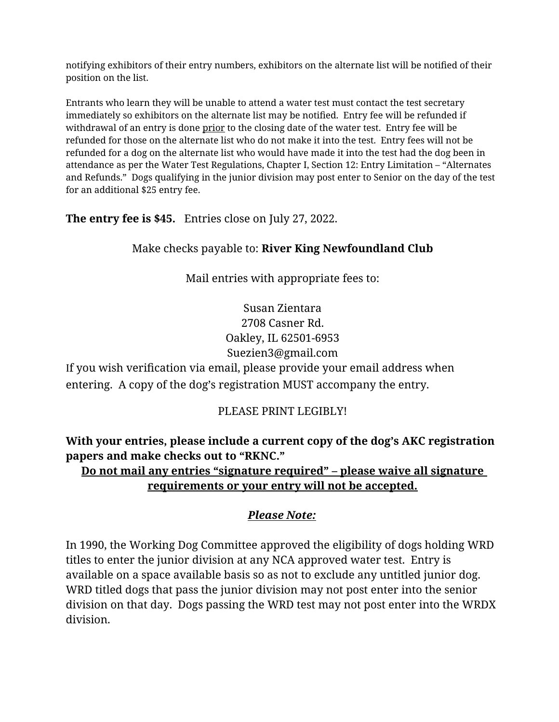notifying exhibitors of their entry numbers, exhibitors on the alternate list will be notified of their position on the list.

Entrants who learn they will be unable to attend a water test must contact the test secretary immediately so exhibitors on the alternate list may be notified. Entry fee will be refunded if withdrawal of an entry is done prior to the closing date of the water test. Entry fee will be refunded for those on the alternate list who do not make it into the test. Entry fees will not be refunded for a dog on the alternate list who would have made it into the test had the dog been in attendance as per the Water Test Regulations, Chapter I, Section 12: Entry Limitation – "Alternates and Refunds." Dogs qualifying in the junior division may post enter to Senior on the day of the test for an additional \$25 entry fee.

**The entry fee is \$45.** Entries close on July 27, 2022.

Make checks payable to: **River King Newfoundland Club**

Mail entries with appropriate fees to:

Susan Zientara 2708 Casner Rd. Oakley, IL 62501-6953 Suezien3@gmail.com

If you wish verification via email, please provide your email address when entering. A copy of the dog's registration MUST accompany the entry.

# PLEASE PRINT LEGIBLY!

**With your entries, please include a current copy of the dog's AKC registration papers and make checks out to "RKNC."** 

# **Do not mail any entries "signature required" – please waive all signature requirements or your entry will not be accepted.**

# *Please Note:*

In 1990, the Working Dog Committee approved the eligibility of dogs holding WRD titles to enter the junior division at any NCA approved water test. Entry is available on a space available basis so as not to exclude any untitled junior dog. WRD titled dogs that pass the junior division may not post enter into the senior division on that day. Dogs passing the WRD test may not post enter into the WRDX division.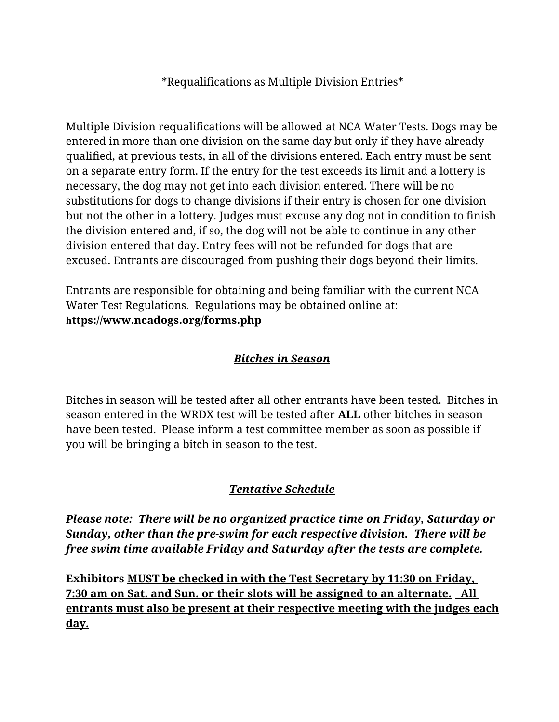# \*Requalifications as Multiple Division Entries\*

Multiple Division requalifications will be allowed at NCA Water Tests. Dogs may be entered in more than one division on the same day but only if they have already qualified, at previous tests, in all of the divisions entered. Each entry must be sent on a separate entry form. If the entry for the test exceeds its limit and a lottery is necessary, the dog may not get into each division entered. There will be no substitutions for dogs to change divisions if their entry is chosen for one division but not the other in a lottery. Judges must excuse any dog not in condition to finish the division entered and, if so, the dog will not be able to continue in any other division entered that day. Entry fees will not be refunded for dogs that are excused. Entrants are discouraged from pushing their dogs beyond their limits.

Entrants are responsible for obtaining and being familiar with the current NCA Water Test Regulations. Regulations may be obtained online at: **https://www.ncadogs.org/forms.php**

#### *Bitches in Season*

Bitches in season will be tested after all other entrants have been tested. Bitches in season entered in the WRDX test will be tested after **ALL** other bitches in season have been tested. Please inform a test committee member as soon as possible if you will be bringing a bitch in season to the test.

# *Tentative Schedule*

*Please note: There will be no organized practice time on Friday, Saturday or Sunday, other than the pre-swim for each respective division. There will be free swim time available Friday and Saturday after the tests are complete.*

**Exhibitors MUST be checked in with the Test Secretary by 11:30 on Friday, 7:30 am on Sat. and Sun. or their slots will be assigned to an alternate. All entrants must also be present at their respective meeting with the judges each day.**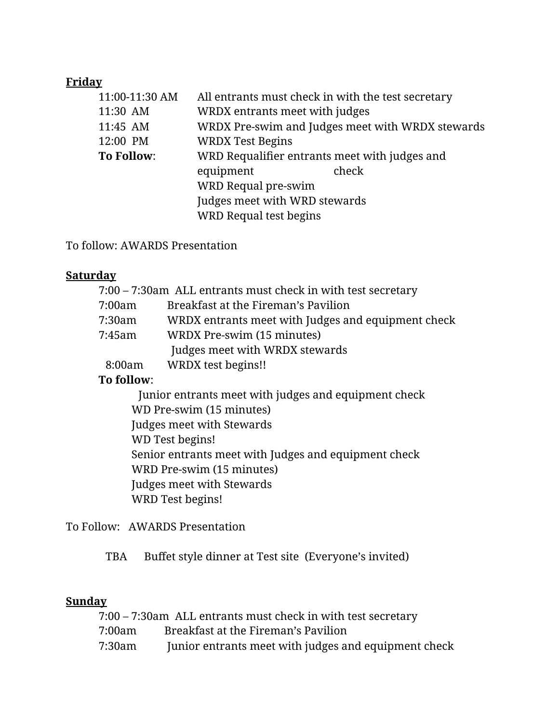# **Friday**

| 11:00-11:30 AM    | All entrants must check in with the test secretary |       |  |
|-------------------|----------------------------------------------------|-------|--|
| 11:30 AM          | WRDX entrants meet with judges                     |       |  |
| 11:45 AM          | WRDX Pre-swim and Judges meet with WRDX stewards   |       |  |
| 12:00 PM          | <b>WRDX Test Begins</b>                            |       |  |
| <b>To Follow:</b> | WRD Requalifier entrants meet with judges and      |       |  |
|                   | equipment                                          | check |  |
|                   | WRD Requal pre-swim                                |       |  |
|                   | Judges meet with WRD stewards                      |       |  |
|                   | <b>WRD Requal test begins</b>                      |       |  |
|                   |                                                    |       |  |

To follow: AWARDS Presentation

#### **Saturday**

|        | 7:00 – 7:30am ALL entrants must check in with test secretary |
|--------|--------------------------------------------------------------|
| 7:00am | Breakfast at the Fireman's Pavilion                          |
| 7:30am | WRDX entrants meet with Judges and equipment check           |
| 7:45am | WRDX Pre-swim (15 minutes)                                   |
|        | Judges meet with WRDX stewards                               |
| 8:00am | WRDX test begins!!                                           |

# **To follow**:

 Junior entrants meet with judges and equipment check WD Pre-swim (15 minutes) Judges meet with Stewards WD Test begins! Senior entrants meet with Judges and equipment check WRD Pre-swim (15 minutes) Judges meet with Stewards WRD Test begins!

To Follow: AWARDS Presentation

TBA Buffet style dinner at Test site (Everyone's invited)

# **Sunday**

|        | 7:00 – 7:30am ALL entrants must check in with test secretary |
|--------|--------------------------------------------------------------|
| 7:00am | Breakfast at the Fireman's Pavilion                          |
| 7:30am | Junior entrants meet with judges and equipment check         |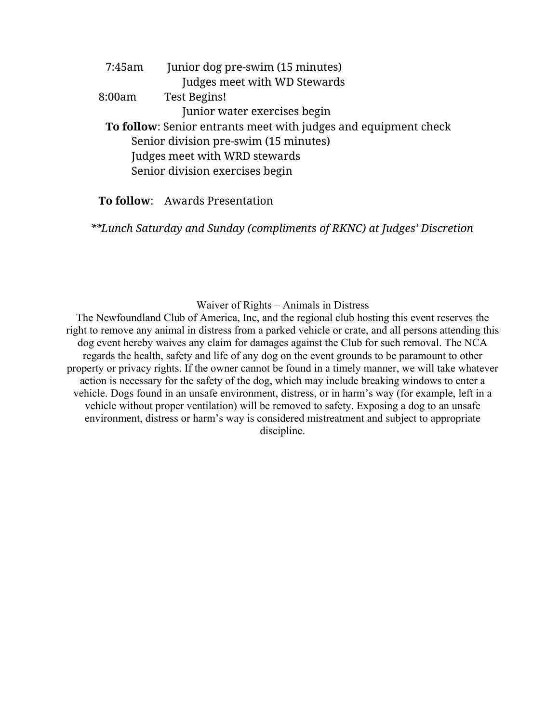|                                 | 7:45am | Junior dog pre-swim (15 minutes)                                |
|---------------------------------|--------|-----------------------------------------------------------------|
|                                 |        | Judges meet with WD Stewards                                    |
| 8:00am                          |        | <b>Test Begins!</b>                                             |
|                                 |        | Junior water exercises begin                                    |
|                                 |        | To follow: Senior entrants meet with judges and equipment check |
|                                 |        | Senior division pre-swim (15 minutes)                           |
|                                 |        | Judges meet with WRD stewards                                   |
| Senior division exercises begin |        |                                                                 |
|                                 |        |                                                                 |

**To follow**: Awards Presentation

*\*\*Lunch Saturday and Sunday (compliments of RKNC) at Judges' Discretion*

Waiver of Rights – Animals in Distress

The Newfoundland Club of America, Inc, and the regional club hosting this event reserves the right to remove any animal in distress from a parked vehicle or crate, and all persons attending this dog event hereby waives any claim for damages against the Club for such removal. The NCA regards the health, safety and life of any dog on the event grounds to be paramount to other property or privacy rights. If the owner cannot be found in a timely manner, we will take whatever action is necessary for the safety of the dog, which may include breaking windows to enter a vehicle. Dogs found in an unsafe environment, distress, or in harm's way (for example, left in a vehicle without proper ventilation) will be removed to safety. Exposing a dog to an unsafe environment, distress or harm's way is considered mistreatment and subject to appropriate discipline.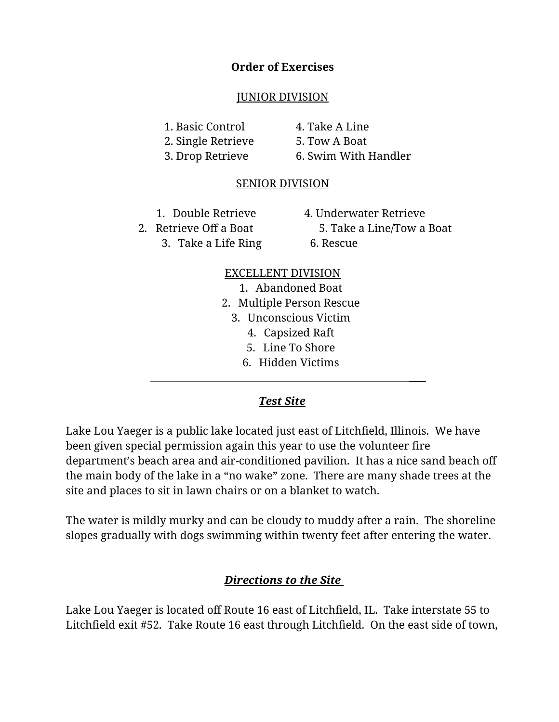#### **Order of Exercises**

#### JUNIOR DIVISION

1. Basic Control 4. Take A Line

2. Single Retrieve 5. Tow A Boat

3. Drop Retrieve 6. Swim With Handler

# SENIOR DIVISION

1. Double Retrieve 4. Underwater Retrieve

2. Retrieve Off a Boat 5. Take a Line/Tow a Boat 3. Take a Life Ring 6. Rescue

# EXCELLENT DIVISION

- 1. Abandoned Boat
- 2. Multiple Person Rescue
	- 3. Unconscious Victim
		- 4. Capsized Raft
		- 5. Line To Shore
		- 6. Hidden Victims

# *Test Site*

Lake Lou Yaeger is a public lake located just east of Litchfield, Illinois. We have been given special permission again this year to use the volunteer fire department's beach area and air-conditioned pavilion. It has a nice sand beach off the main body of the lake in a "no wake" zone. There are many shade trees at the site and places to sit in lawn chairs or on a blanket to watch.

The water is mildly murky and can be cloudy to muddy after a rain. The shoreline slopes gradually with dogs swimming within twenty feet after entering the water.

# *Directions to the Site*

Lake Lou Yaeger is located off Route 16 east of Litchfield, IL. Take interstate 55 to Litchfield exit #52. Take Route 16 east through Litchfield. On the east side of town,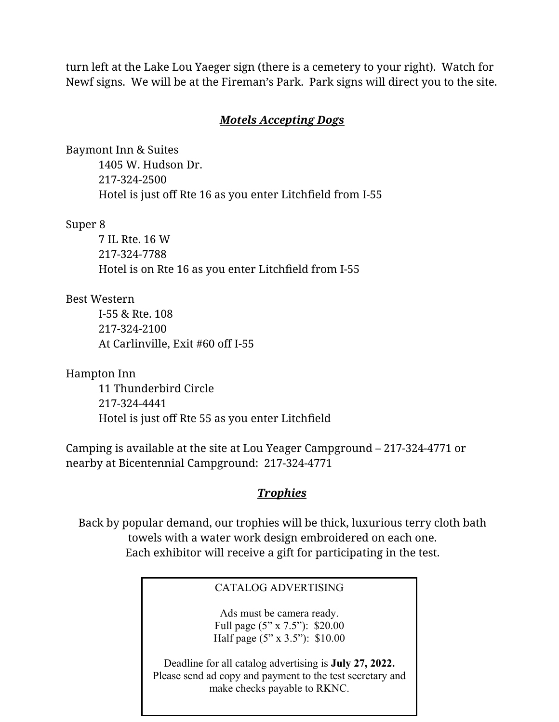turn left at the Lake Lou Yaeger sign (there is a cemetery to your right). Watch for Newf signs. We will be at the Fireman's Park. Park signs will direct you to the site.

#### *Motels Accepting Dogs*

Baymont Inn & Suites 1405 W. Hudson Dr. 217-324-2500 Hotel is just off Rte 16 as you enter Litchfield from I-55

#### Super 8

7 IL Rte. 16 W 217-324-7788 Hotel is on Rte 16 as you enter Litchfield from I-55

#### Best Western

I-55 & Rte. 108 217-324-2100 At Carlinville, Exit #60 off I-55

Hampton Inn 11 Thunderbird Circle 217-324-4441 Hotel is just off Rte 55 as you enter Litchfield

Camping is available at the site at Lou Yeager Campground – 217-324-4771 or nearby at Bicentennial Campground: 217-324-4771

# *Trophies*

Back by popular demand, our trophies will be thick, luxurious terry cloth bath towels with a water work design embroidered on each one. Each exhibitor will receive a gift for participating in the test.

#### CATALOG ADVERTISING

Ads must be camera ready. Full page (5" x 7.5"): \$20.00 Half page (5" x 3.5"): \$10.00

Deadline for all catalog advertising is **July 27, 2022.** Please send ad copy and payment to the test secretary and make checks payable to RKNC.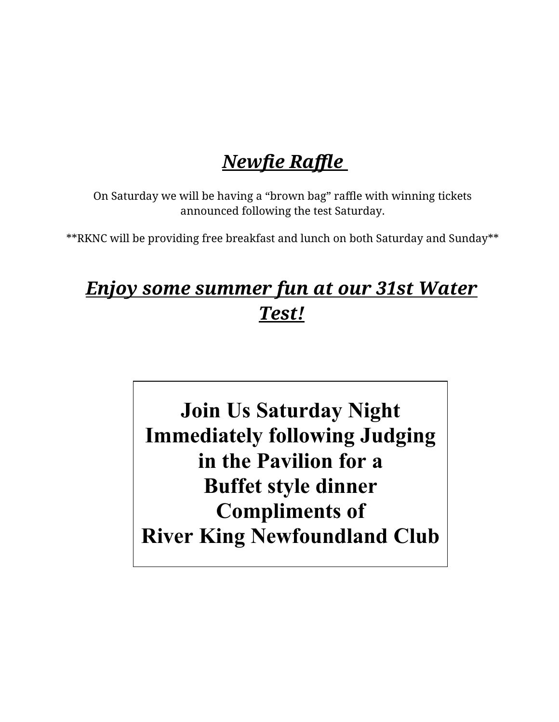# *Newfie Raffle*

On Saturday we will be having a "brown bag" raffle with winning tickets announced following the test Saturday.

\*\*RKNC will be providing free breakfast and lunch on both Saturday and Sunday\*\*

# *Enjoy some summer fun at our 31st Water Test!*

 $\sim$  only motive of **River King Newfoundland Club Join Us Saturday Night Immediately following Judging in the Pavilion for a Buffet style dinner Compliments of**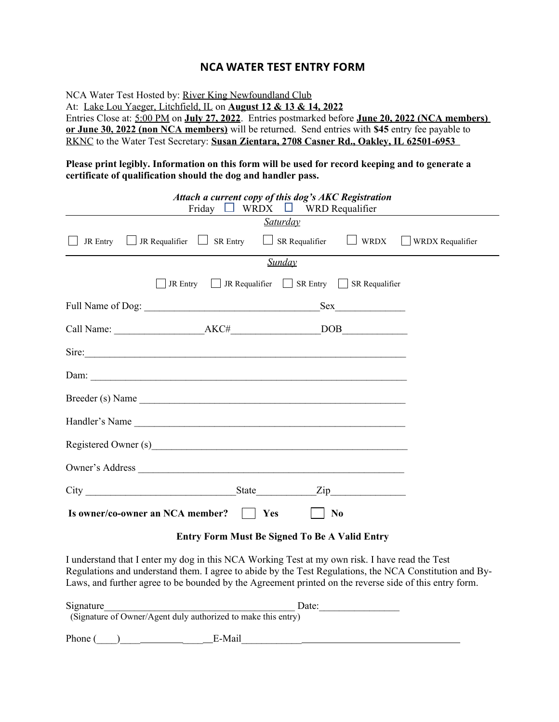#### **NCA WATER TEST ENTRY FORM**

NCA Water Test Hosted by: River King Newfoundland Club At: Lake Lou Yaeger, Litchfield, IL on **August 12 & 13 & 14, 2022** Entries Close at: 5:00 PM on **July 27, 2022**. Entries postmarked before **June 20, 2022 (NCA members) or June 30, 2022 (non NCA members)** will be returned. Send entries with **\$45** entry fee payable to RKNC to the Water Test Secretary: **Susan Zientara, 2708 Casner Rd., Oakley, IL 62501-6953** 

#### **Please print legibly. Information on this form will be used for record keeping and to generate a certificate of qualification should the dog and handler pass.**

|                                                      | Attach a current copy of this dog's AKC Registration                                                                                                                                                                           | Friday $\Box$ WRDX $\Box$ WRD Requalifier |                  |
|------------------------------------------------------|--------------------------------------------------------------------------------------------------------------------------------------------------------------------------------------------------------------------------------|-------------------------------------------|------------------|
|                                                      |                                                                                                                                                                                                                                | <b>Saturday</b>                           |                  |
|                                                      | JR Entry $\Box$ JR Requalifier $\Box$ SR Entry $\Box$ SR Requalifier $\Box$ WRDX                                                                                                                                               |                                           | WRDX Requalifier |
|                                                      |                                                                                                                                                                                                                                | Sunday                                    |                  |
|                                                      | JR Entry $\Box$ JR Requalifier $\Box$ SR Entry $\Box$ SR Requalifier                                                                                                                                                           |                                           |                  |
|                                                      |                                                                                                                                                                                                                                |                                           |                  |
|                                                      |                                                                                                                                                                                                                                |                                           |                  |
|                                                      | Sire:                                                                                                                                                                                                                          |                                           |                  |
|                                                      |                                                                                                                                                                                                                                |                                           |                  |
|                                                      | Breeder (s) Name                                                                                                                                                                                                               |                                           |                  |
|                                                      | Handler's Name                                                                                                                                                                                                                 |                                           |                  |
|                                                      | Registered Owner (s) example a series of the series of the series of the series of the series of the series of the series of the series of the series of the series of the series of the series of the series of the series of |                                           |                  |
|                                                      |                                                                                                                                                                                                                                |                                           |                  |
|                                                      |                                                                                                                                                                                                                                |                                           |                  |
|                                                      | Is owner/co-owner an NCA member?     Yes                                                                                                                                                                                       | $\vert$   No                              |                  |
| <b>Entry Form Must Be Signed To Be A Valid Entry</b> |                                                                                                                                                                                                                                |                                           |                  |

I understand that I enter my dog in this NCA Working Test at my own risk. I have read the Test Regulations and understand them. I agree to abide by the Test Regulations, the NCA Constitution and By-Laws, and further agree to be bounded by the Agreement printed on the reverse side of this entry form.

| Signature                                                     | Date: |  |
|---------------------------------------------------------------|-------|--|
| (Signature of Owner/Agent duly authorized to make this entry) |       |  |
| Phone (<br>E-Mail                                             |       |  |